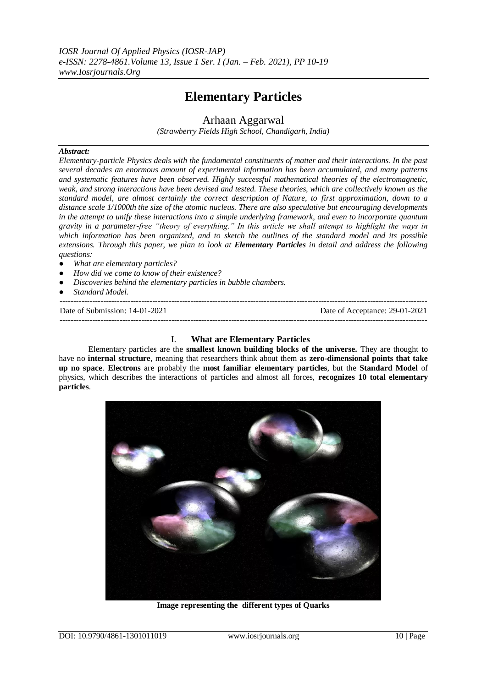# **Elementary Particles**

Arhaan Aggarwal

*(Strawberry Fields High School, Chandigarh, India)*

## *Abstract:*

*Elementary-particle Physics deals with the fundamental constituents of matter and their interactions. In the past several decades an enormous amount of experimental information has been accumulated, and many patterns and systematic features have been observed. Highly successful mathematical theories of the electromagnetic, weak, and strong interactions have been devised and tested. These theories, which are collectively known as the standard model, are almost certainly the correct description of Nature, to first approximation, down to a distance scale 1/1000th the size of the atomic nucleus. There are also speculative but encouraging developments in the attempt to unify these interactions into a simple underlying framework, and even to incorporate quantum gravity in a parameter-free "theory of everything." In this article we shall attempt to highlight the ways in which information has been organized, and to sketch the outlines of the standard model and its possible extensions. Through this paper, we plan to look at Elementary Particles in detail and address the following questions:*

- *What are elementary particles?*
- *How did we come to know of their existence?*
- *Discoveries behind the elementary particles in bubble chambers.*
- Standard Model.

--------------------------------------------------------------------------------------------------------------------------------------- Date of Submission: 14-01-2021 Date of Acceptance: 29-01-2021 ---------------------------------------------------------------------------------------------------------------------------------------

#### I. **What are Elementary Particles**

Elementary particles are the **smallest known building blocks of the universe.** They are thought to have no **internal structure**, meaning that researchers think about them as **zero-dimensional points that take up no space**. **Electrons** are probably the **most familiar elementary particles**, but the **Standard Model** of physics, which describes the interactions of particles and almost all forces, **recognizes 10 total elementary particles**.



**Image representing the different types of Quarks**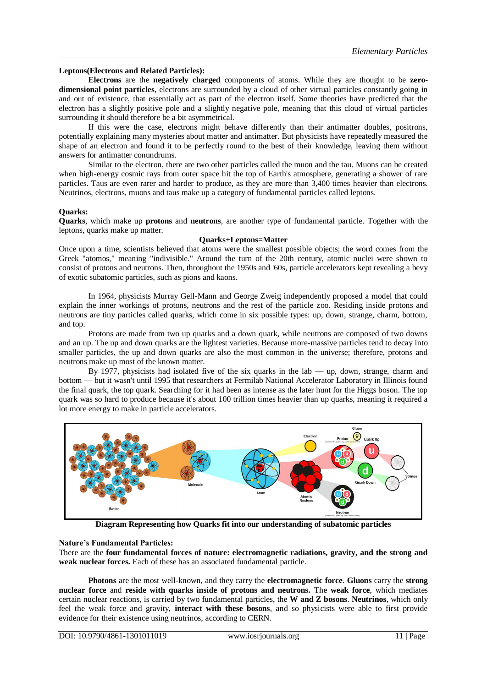#### **Leptons(Electrons and Related Particles):**

**Electrons** are the **negatively charged** components of atoms. While they are thought to be **zerodimensional point particles**, electrons are surrounded by a cloud of other virtual particles constantly going in and out of existence, that essentially act as part of the electron itself. Some theories have predicted that the electron has a slightly positive pole and a slightly negative pole, meaning that this cloud of virtual particles surrounding it should therefore be a bit asymmetrical.

If this were the case, electrons might behave differently than their antimatter doubles, positrons, potentially explaining many mysteries about matter and antimatter. But physicists have repeatedly measured the shape of an electron and found it to be perfectly round to the best of their knowledge, leaving them without answers for antimatter conundrums.

Similar to the electron, there are two other particles called the muon and the tau. Muons can be created when high-energy cosmic rays from outer space hit the top of Earth's atmosphere, generating a shower of rare particles. Taus are even rarer and harder to produce, as they are more than 3,400 times heavier than electrons. Neutrinos, electrons, muons and taus make up a category of fundamental particles called leptons.

## **Quarks:**

**Quarks**, which make up **protons** and **neutrons**, are another type of fundamental particle. Together with the leptons, quarks make up matter.

#### **Quarks+Leptons=Matter**

Once upon a time, scientists believed that atoms were [the smallest possible objects;](https://www.livescience.com/23232-smallest-ingredients-universe-physics.html) the word comes from the Greek "atomos," meaning "indivisible." Around the turn of the 20th century, atomic nuclei were shown to consist of protons and neutrons. Then, throughout the 1950s and '60s, particle accelerators kept revealing a bevy of exotic subatomic particles, such as pions and kaons.

In 1964, physicists Murray Gell-Mann and George Zweig independently proposed a model that could explain the inner workings of protons, neutrons and the rest of the particle zoo. Residing inside protons and neutrons are tiny particles called quarks, which come in six possible types: up, down, strange, charm, bottom, and top.

Protons are made from two up quarks and a down quark, while neutrons are composed of two downs and an up. The up and down quarks are the lightest varieties. Because more-massive particles tend to decay into smaller particles, the up and down quarks are also the most common in the universe; therefore, protons and neutrons make up most of the known matter.

By 1977, physicists had isolated five of the six quarks in the lab — up, down, strange, charm and bottom — but it wasn't until 1995 that researchers at Fermilab National Accelerator Laboratory in Illinois found the final quark, the top quark. Searching for it had been as intense as the later hunt for the Higgs boson. The top quark was so hard to produce because it's about 100 trillion times heavier than up quarks, meaning it required a lot more energy to make in particle accelerators.



**Diagram Representing how Quarks fit into our understanding of subatomic particles**

#### **Nature's Fundamental Particles:**

There are the **four fundamental forces of nature: electromagnetic radiations, gravity, and the strong and weak nuclear forces.** Each of these has an associated fundamental particle.

**Photons** are the most well-known, and they carry the **electromagnetic force**. **Gluons** carry the **strong nuclear force** and **reside with quarks inside of protons and neutrons.** The **weak force**, which mediates certain nuclear reactions, is carried by two fundamental particles, the **W and Z bosons**. **Neutrinos**, which only feel the weak force and gravity, **interact with these bosons**, and so physicists were able to first provide evidence for their existence using neutrinos, according to CERN.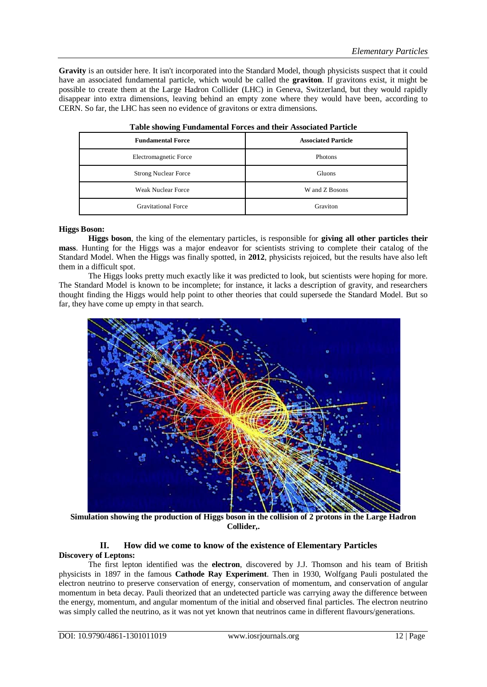**Gravity** is an outsider here. It isn't incorporated into the Standard Model, though physicists suspect that it could have an associated fundamental particle, which would be called the **graviton**. If gravitons exist, it might be possible to create them at the Large Hadron Collider (LHC) in Geneva, Switzerland, but they would rapidly disappear into extra dimensions, leaving behind an empty zone where they would have been, according to CERN. So far, the LHC has seen no evidence of gravitons or extra dimensions.

| <b>Fundamental Force</b>    | <b>Associated Particle</b> |  |  |
|-----------------------------|----------------------------|--|--|
| Electromagnetic Force       | Photons                    |  |  |
| <b>Strong Nuclear Force</b> | Gluons                     |  |  |
| Weak Nuclear Force          | W and Z Bosons             |  |  |
| <b>Gravitational Force</b>  | Graviton                   |  |  |

| Table showing Fundamental Forces and their Associated Particle |  |  |  |  |  |
|----------------------------------------------------------------|--|--|--|--|--|
|----------------------------------------------------------------|--|--|--|--|--|

## **Higgs Boson:**

**Higgs boson**, the king of the elementary particles, is responsible for **giving all other particles their mass**. Hunting for the Higgs was a major endeavor for scientists striving to complete their catalog of the Standard Model. When the Higgs was finally spotted, in **2012**, physicists rejoiced, but the results have also left them in a difficult spot.

The Higgs looks pretty much exactly like it was predicted to look, but scientists were hoping for more. The Standard Model is known to be incomplete; for instance, it lacks a description of gravity, and researchers thought finding the Higgs would help point to other theories that could supersede the Standard Model. But so far, they have come up empty in that search.



**Simulation showing the production of Higgs boson in the collision of 2 protons in the Large Hadron Collider,.**

## **II. How did we come to know of the existence of Elementary Particles Discovery of Leptons:**

The first lepton identified was the **electron**, discovered by J.J. Thomson and his team of British physicists in 1897 in the famous **Cathode Ray Experiment**. Then in 1930, Wolfgang Pauli postulated the electron neutrino to preserve conservation of energy, conservation of momentum, and conservation of angular momentum in beta decay. Pauli theorized that an undetected particle was carrying away the difference between the energy, momentum, and angular momentum of the initial and observed final particles. The electron neutrino was simply called the neutrino, as it was not yet known that neutrinos came in different flavours/generations.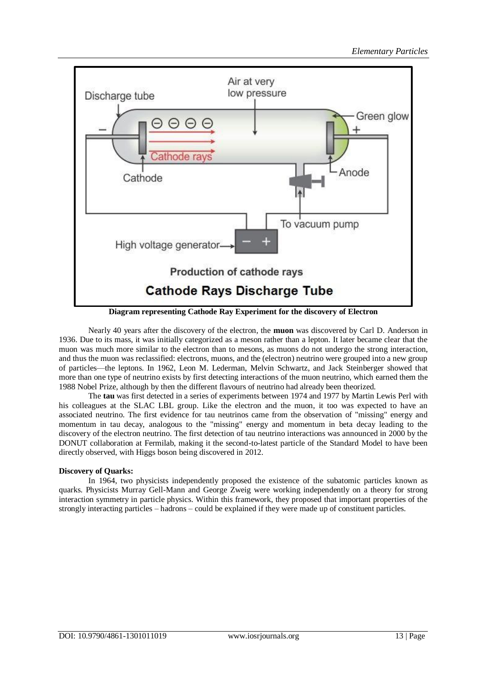

**Diagram representing Cathode Ray Experiment for the discovery of Electron**

Nearly 40 years after the discovery of the electron, the **muon** was discovered by Carl D. Anderson in 1936. Due to its mass, it was initially categorized as a meson rather than a lepton. It later became clear that the muon was much more similar to the electron than to mesons, as muons do not undergo the strong interaction, and thus the muon was reclassified: electrons, muons, and the (electron) neutrino were grouped into a new group of particles—the leptons. In 1962, Leon M. Lederman, Melvin Schwartz, and Jack Steinberger showed that more than one type of neutrino exists by first detecting interactions of the muon neutrino, which earned them the 1988 Nobel Prize, although by then the different flavours of neutrino had already been theorized.

The **tau** was first detected in a series of experiments between 1974 and 1977 by Martin Lewis Perl with his colleagues at the SLAC LBL group. Like the electron and the muon, it too was expected to have an associated neutrino. The first evidence for tau neutrinos came from the observation of "missing" energy and momentum in tau decay, analogous to the "missing" energy and momentum in beta decay leading to the discovery of the electron neutrino. The first detection of tau neutrino interactions was announced in 2000 by the DONUT collaboration at Fermilab, making it the second-to-latest particle of the Standard Model to have been directly observed, with Higgs boson being discovered in 2012.

## **Discovery of Quarks:**

In 1964, two physicists independently proposed the existence of the subatomic particles known as quarks. Physicists Murray Gell-Mann and George Zweig were working independently on a theory for strong interaction symmetry in particle physics. Within this framework, they proposed that important properties of the strongly interacting particles – hadrons – could be explained if they were made up of constituent particles.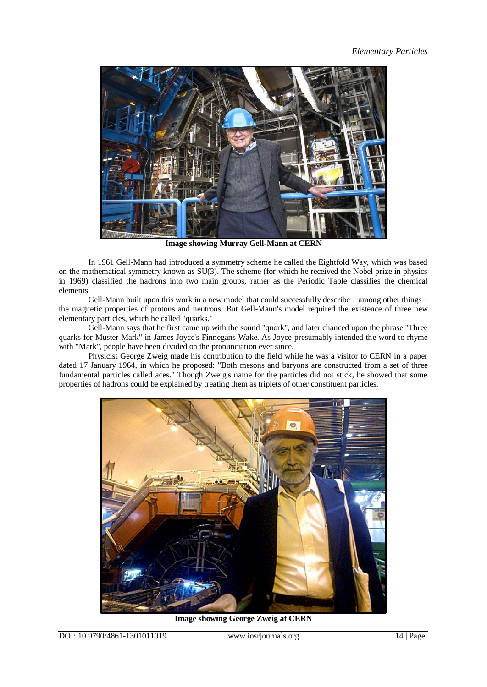

**Image showing Murray Gell-Mann at CERN**

In 1961 Gell-Mann had introduced a symmetry scheme he called the Eightfold Way, which was based on the mathematical symmetry known as SU(3). The scheme (for which he received the Nobel prize in physics in 1969) classified the hadrons into two main groups, rather as the Periodic Table classifies the chemical elements.

Gell-Mann built upon this work in a new model that could successfully describe – among other things – the magnetic properties of protons and neutrons. But Gell-Mann's model required the existence of three new elementary particles, which he called "quarks."

Gell-Mann says that he first came up with the sound "quork", and later chanced upon the phrase "Three quarks for Muster Mark" in James Joyce's Finnegans Wake. As Joyce presumably intended the word to rhyme with "Mark", people have been divided on the pronunciation ever since.

Physicist George Zweig made his contribution to the field while he was a visitor to CERN in a paper dated 17 January 1964, in which he proposed: "Both mesons and baryons are constructed from a set of three fundamental particles called aces." Though Zweig's name for the particles did not stick, he showed that some properties of hadrons could be explained by treating them as triplets of other constituent particles.



**Image showing George Zweig at CERN**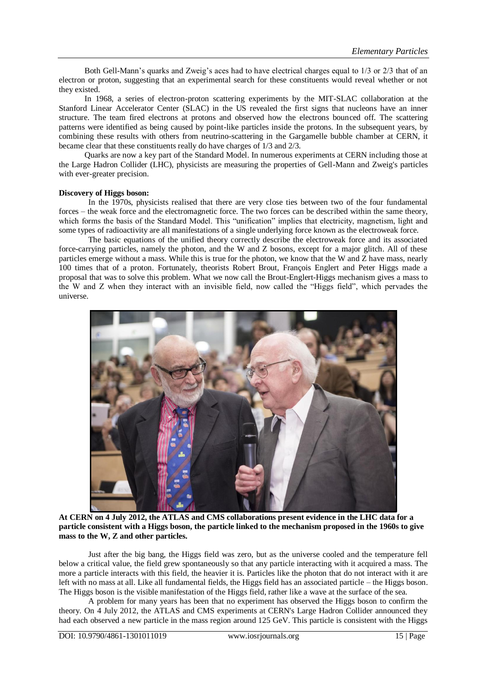Both Gell-Mann's quarks and Zweig's aces had to have electrical charges equal to 1/3 or 2/3 that of an electron or proton, suggesting that an experimental search for these constituents would reveal whether or not they existed.

In 1968, a series of electron-proton scattering experiments by the MIT-SLAC collaboration at the Stanford Linear Accelerator Center (SLAC) in the US revealed the first signs that nucleons have an inner structure. The team fired electrons at protons and observed how the electrons bounced off. The scattering patterns were identified as being caused by point-like particles inside the protons. In the subsequent years, by combining these results with others from neutrino-scattering in the Gargamelle bubble chamber at CERN, it became clear that these constituents really do have charges of 1/3 and 2/3.

Quarks are now a key part of the Standard Model. In numerous experiments at CERN including those at the Large Hadron Collider (LHC), physicists are measuring the properties of Gell-Mann and Zweig's particles with ever-greater precision.

## **Discovery of Higgs boson:**

In the 1970s, physicists realised that there are very close ties between two of the four fundamental forces – the weak force and the electromagnetic force. The two forces can be described within the same theory, which forms the basis of the Standard Model. This "unification" implies that electricity, magnetism, light and some types of radioactivity are all manifestations of a single underlying force known as the electroweak force.

The basic equations of the unified theory correctly describe the electroweak force and its associated force-carrying particles, namely the photon, and the W and Z bosons, except for a major glitch. All of these particles emerge without a mass. While this is true for the photon, we know that the W and Z have mass, nearly 100 times that of a proton. Fortunately, theorists Robert Brout, François Englert and Peter Higgs made a proposal that was to solve this problem. What we now call the Brout-Englert-Higgs mechanism gives a mass to the W and Z when they interact with an invisible field, now called the "Higgs field", which pervades the universe.



**At CERN on 4 July 2012, the ATLAS and CMS collaborations present evidence in the LHC data for a particle consistent with a Higgs boson, the particle linked to the mechanism proposed in the 1960s to give mass to the W, Z and other particles.** 

Just after the big bang, the Higgs field was zero, but as the universe cooled and the temperature fell below a critical value, the field grew spontaneously so that any particle interacting with it acquired a mass. The more a particle interacts with this field, the heavier it is. Particles like the photon that do not interact with it are left with no mass at all. Like all fundamental fields, the Higgs field has an associated particle – the Higgs boson. The Higgs boson is the visible manifestation of the Higgs field, rather like a wave at the surface of the sea.

A problem for many years has been that no experiment has observed the Higgs boson to confirm the theory. On 4 July 2012, the ATLAS and CMS experiments at CERN's Large Hadron Collider announced they had each observed a new particle in the mass region around 125 GeV. This particle is consistent with the Higgs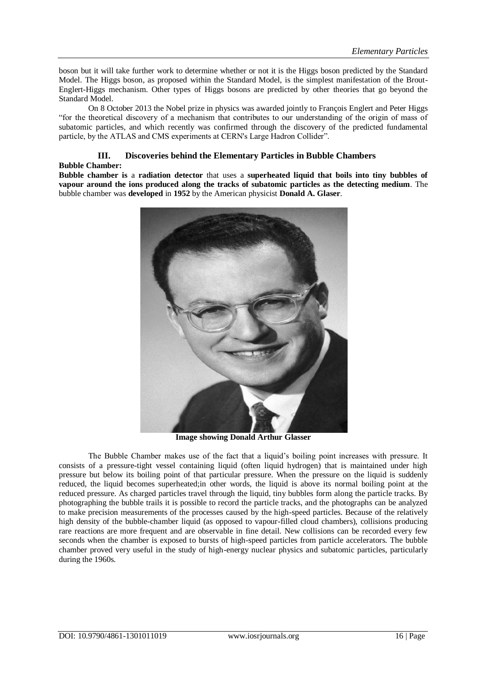boson but it will take further work to determine whether or not it is the Higgs boson predicted by the Standard Model. The Higgs boson, as proposed within the Standard Model, is the simplest manifestation of the Brout-Englert-Higgs mechanism. Other types of Higgs bosons are predicted by other theories that go beyond the Standard Model.

On 8 October 2013 the Nobel prize in physics was awarded jointly to François Englert and Peter Higgs "for the theoretical discovery of a mechanism that contributes to our understanding of the origin of mass of subatomic particles, and which recently was confirmed through the discovery of the predicted fundamental particle, by the ATLAS and CMS experiments at CERN's Large Hadron Collider".

#### **III. Discoveries behind the Elementary Particles in Bubble Chambers Bubble Chamber[:](https://www.britannica.com/biography/Katip-Celebi)**

**Bubble chamber is** a **radiation detector** that uses a **superheated liquid that boils into tiny bubbles of vapour around the ions produced along the tracks of subatomic particles as the detecting medium**. The bubble chamber was **developed** in **1952** by the American physicist **Donald A. Glaser**.



**Image showing Donald Arthur Glasser**

The Bubble Chamber makes use of the fact that a liquid's boiling point increases with pressure. It consists of a pressure-tight vessel containing liquid (often liquid hydrogen) that is maintained under high pressure but below its boiling point of that particular pressure. When the pressure on the liquid is suddenly reduced, the liquid becomes superheated;in other words, the liquid is above its normal boiling point at the reduced pressure. As charged particles travel through the liquid, tiny bubbles form along the particle tracks. By photographing the bubble trails it is possible to record the particle tracks, and the photographs can be analyzed to make precision measurements of the processes caused by the high-speed particles. Because of the relatively high density of the bubble-chamber liquid (as opposed to vapour-filled cloud chambers), collisions producing rare reactions are more frequent and are observable in fine detail. New collisions can be recorded every few seconds when the chamber is exposed to bursts of high-speed particles from particle accelerators. The bubble chamber proved very useful in the study of high-energy nuclear physics and subatomic particles, particularly during the 1960s.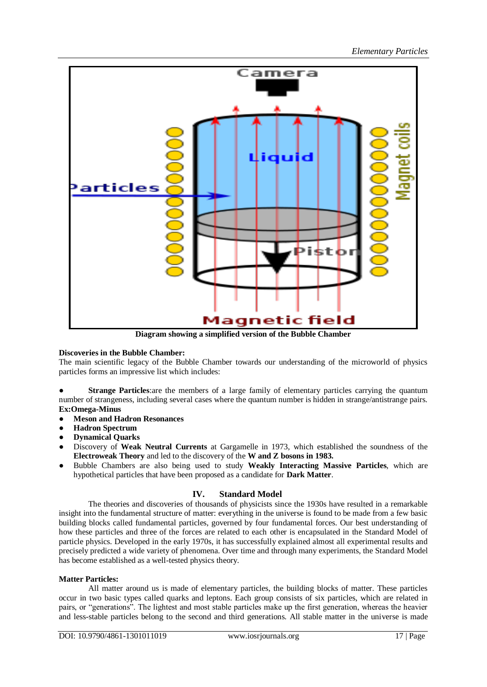

**Diagram showing a simplified version of the Bubble Chamber**

## **Discoveries in the Bubble Chamber:**

The main scientific legacy of the Bubble Chamber towards our understanding of the microworld of physics particles forms an impressive list which includes:

● **Strange Particles**:are the members of a large family of elementary particles carrying the quantum number of strangeness, including several cases where the quantum number is hidden in strange/antistrange pairs. **Ex:Omega-Minus**

- **Meson and Hadron Resonances**
- **Hadron Spectrum**
- **Dynamical Quarks**
- Discovery of **Weak Neutral Currents** at Gargamelle in 1973, which established the soundness of the **Electroweak Theory** and led to the discovery of the **W and Z bosons in 1983.**
- Bubble Chambers are also being used to study Weakly Interacting Massive Particles, which are hypothetical particles that have been proposed as a candidate for **Dark Matter**.

## **IV. Standard Model**

The theories and discoveries of thousands of physicists since the 1930s have resulted in a remarkable insight into the fundamental structure of matter: everything in the universe is found to be made from a few basic building blocks called fundamental particles, governed by four fundamental forces. Our best understanding of how these particles and three of the forces are related to each other is encapsulated in the Standard Model of particle physics. Developed in the early 1970s, it has successfully explained almost all experimental results and precisely predicted a wide variety of phenomena. Over time and through many experiments, the Standard Model has become established as a well-tested physics theory.

## **Matter Particles:**

All matter around us is made of elementary particles, the building blocks of matter. These particles occur in two basic types called quarks and leptons. Each group consists of six particles, which are related in pairs, or "generations". The lightest and most stable particles make up the first generation, whereas the heavier and less-stable particles belong to the second and third generations. All stable matter in the universe is made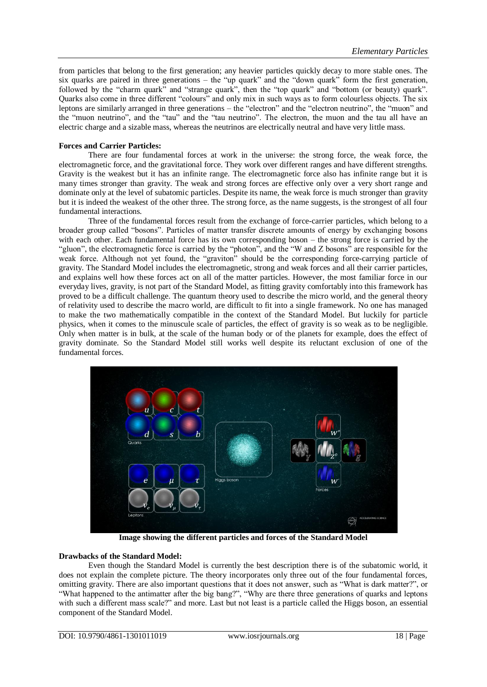from particles that belong to the first generation; any heavier particles quickly decay to more stable ones. The six quarks are paired in three generations – the "up quark" and the "down quark" form the first generation, followed by the "charm quark" and "strange quark", then the "top quark" and "bottom (or beauty) quark". Quarks also come in three different "colours" and only mix in such ways as to form colourless objects. The six leptons are similarly arranged in three generations – the "electron" and the "electron neutrino", the "muon" and the "muon neutrino", and the "tau" and the "tau neutrino". The electron, the muon and the tau all have an electric charge and a sizable mass, whereas the neutrinos are electrically neutral and have very little mass.

#### **Forces and Carrier Particles:**

There are four fundamental forces at work in the universe: the strong force, the weak force, the electromagnetic force, and the gravitational force. They work over different ranges and have different strengths. Gravity is the weakest but it has an infinite range. The electromagnetic force also has infinite range but it is many times stronger than gravity. The weak and strong forces are effective only over a very short range and dominate only at the level of subatomic particles. Despite its name, the weak force is much stronger than gravity but it is indeed the weakest of the other three. The strong force, as the name suggests, is the strongest of all four fundamental interactions.

Three of the fundamental forces result from the exchange of force-carrier particles, which belong to a broader group called "bosons". Particles of matter transfer discrete amounts of energy by exchanging bosons with each other. Each fundamental force has its own corresponding boson – the strong force is carried by the "gluon", the electromagnetic force is carried by the "photon", and the "W and Z bosons" are responsible for the weak force. Although not yet found, the "graviton" should be the corresponding force-carrying particle of gravity. The Standard Model includes the electromagnetic, strong and weak forces and all their carrier particles, and explains well how these forces act on all of the matter particles. However, the most familiar force in our everyday lives, gravity, is not part of the Standard Model, as fitting gravity comfortably into this framework has proved to be a difficult challenge. The quantum theory used to describe the micro world, and the general theory of relativity used to describe the macro world, are difficult to fit into a single framework. No one has managed to make the two mathematically compatible in the context of the Standard Model. But luckily for particle physics, when it comes to the minuscule scale of particles, the effect of gravity is so weak as to be negligible. Only when matter is in bulk, at the scale of the human body or of the planets for example, does the effect of gravity dominate. So the Standard Model still works well despite its reluctant exclusion of one of the fundamental forces.



**Image showing the different particles and forces of the Standard Model**

#### **Drawbacks of the Standard Model:**

Even though the Standard Model is currently the best description there is of the subatomic world, it does not explain the complete picture. The theory incorporates only three out of the four fundamental forces, omitting gravity. There are also important questions that it does not answer, such as "What is dark matter?", or "What happened to the antimatter after the big bang?", "Why are there three generations of quarks and leptons with such a different mass scale?" and more. Last but not least is a particle called the Higgs boson, an essential component of the Standard Model.